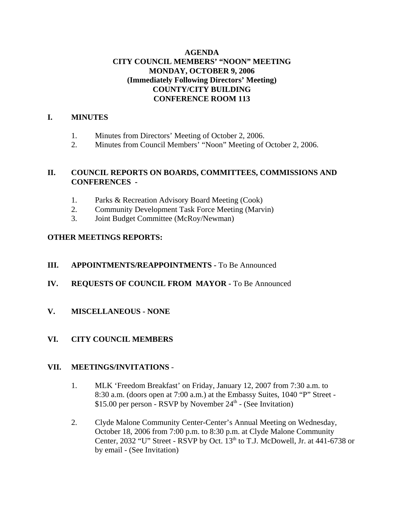# **AGENDA CITY COUNCIL MEMBERS' "NOON" MEETING MONDAY, OCTOBER 9, 2006 (Immediately Following Directors' Meeting) COUNTY/CITY BUILDING CONFERENCE ROOM 113**

# **I. MINUTES**

- 1. Minutes from Directors' Meeting of October 2, 2006.
- 2. Minutes from Council Members' "Noon" Meeting of October 2, 2006.

# **II. COUNCIL REPORTS ON BOARDS, COMMITTEES, COMMISSIONS AND CONFERENCES -**

- 1. Parks & Recreation Advisory Board Meeting (Cook)
- 2. Community Development Task Force Meeting (Marvin)
- 3. Joint Budget Committee (McRoy/Newman)

# **OTHER MEETINGS REPORTS:**

# **III.** APPOINTMENTS/REAPPOINTMENTS - To Be Announced

- **IV. REQUESTS OF COUNCIL FROM MAYOR -** To Be Announced
- **V. MISCELLANEOUS NONE**

# **VI. CITY COUNCIL MEMBERS**

### **VII. MEETINGS/INVITATIONS** -

- 1. MLK 'Freedom Breakfast' on Friday, January 12, 2007 from 7:30 a.m. to 8:30 a.m. (doors open at 7:00 a.m.) at the Embassy Suites, 1040 "P" Street - \$15.00 per person - RSVP by November  $24<sup>th</sup>$  - (See Invitation)
- 2. Clyde Malone Community Center-Center's Annual Meeting on Wednesday, October 18, 2006 from 7:00 p.m. to 8:30 p.m. at Clyde Malone Community Center, 2032 "U" Street - RSVP by Oct.  $13<sup>th</sup>$  to T.J. McDowell, Jr. at 441-6738 or by email - (See Invitation)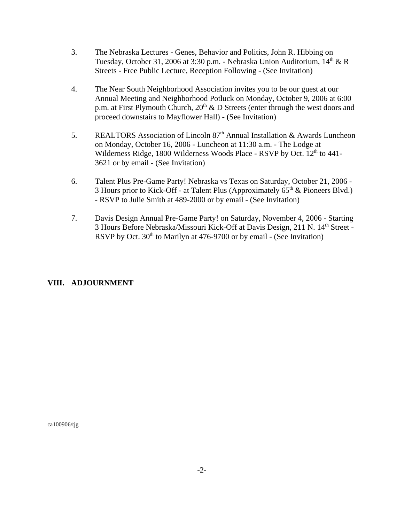- 3. The Nebraska Lectures Genes, Behavior and Politics, John R. Hibbing on Tuesday, October 31, 2006 at 3:30 p.m. - Nebraska Union Auditorium,  $14<sup>th</sup> \& R$ Streets - Free Public Lecture, Reception Following - (See Invitation)
- 4. The Near South Neighborhood Association invites you to be our guest at our Annual Meeting and Neighborhood Potluck on Monday, October 9, 2006 at 6:00 p.m. at First Plymouth Church,  $20<sup>th</sup>$  & D Streets (enter through the west doors and proceed downstairs to Mayflower Hall) - (See Invitation)
- 5. REALTORS Association of Lincoln 87<sup>th</sup> Annual Installation & Awards Luncheon on Monday, October 16, 2006 - Luncheon at 11:30 a.m. - The Lodge at Wilderness Ridge, 1800 Wilderness Woods Place - RSVP by Oct.  $12<sup>th</sup>$  to 441-3621 or by email - (See Invitation)
- 6. Talent Plus Pre-Game Party! Nebraska vs Texas on Saturday, October 21, 2006 3 Hours prior to Kick-Off - at Talent Plus (Approximately  $65<sup>th</sup>$  & Pioneers Blvd.) - RSVP to Julie Smith at 489-2000 or by email - (See Invitation)
- 7. Davis Design Annual Pre-Game Party! on Saturday, November 4, 2006 Starting 3 Hours Before Nebraska/Missouri Kick-Off at Davis Design, 211 N. 14<sup>th</sup> Street -RSVP by Oct.  $30<sup>th</sup>$  to Marilyn at 476-9700 or by email - (See Invitation)

# **VIII. ADJOURNMENT**

ca100906/tjg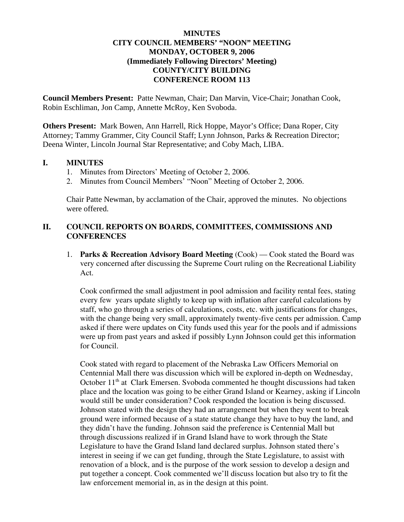## **MINUTES CITY COUNCIL MEMBERS' "NOON" MEETING MONDAY, OCTOBER 9, 2006 (Immediately Following Directors' Meeting) COUNTY/CITY BUILDING CONFERENCE ROOM 113**

**Council Members Present:** Patte Newman, Chair; Dan Marvin, Vice-Chair; Jonathan Cook, Robin Eschliman, Jon Camp, Annette McRoy, Ken Svoboda.

**Others Present:** Mark Bowen, Ann Harrell, Rick Hoppe, Mayor's Office; Dana Roper, City Attorney; Tammy Grammer, City Council Staff; Lynn Johnson, Parks & Recreation Director; Deena Winter, Lincoln Journal Star Representative; and Coby Mach, LIBA.

### **I. MINUTES**

- 1. Minutes from Directors' Meeting of October 2, 2006.
- 2. Minutes from Council Members' "Noon" Meeting of October 2, 2006.

Chair Patte Newman, by acclamation of the Chair, approved the minutes. No objections were offered.

## **II. COUNCIL REPORTS ON BOARDS, COMMITTEES, COMMISSIONS AND CONFERENCES**

1. **Parks & Recreation Advisory Board Meeting** (Cook) — Cook stated the Board was very concerned after discussing the Supreme Court ruling on the Recreational Liability Act.

Cook confirmed the small adjustment in pool admission and facility rental fees, stating every few years update slightly to keep up with inflation after careful calculations by staff, who go through a series of calculations, costs, etc. with justifications for changes, with the change being very small, approximately twenty-five cents per admission. Camp asked if there were updates on City funds used this year for the pools and if admissions were up from past years and asked if possibly Lynn Johnson could get this information for Council.

Cook stated with regard to placement of the Nebraska Law Officers Memorial on Centennial Mall there was discussion which will be explored in-depth on Wednesday, October 11<sup>th</sup> at Clark Emersen. Svoboda commented he thought discussions had taken place and the location was going to be either Grand Island or Kearney, asking if Lincoln would still be under consideration? Cook responded the location is being discussed. Johnson stated with the design they had an arrangement but when they went to break ground were informed because of a state statute change they have to buy the land, and they didn't have the funding. Johnson said the preference is Centennial Mall but through discussions realized if in Grand Island have to work through the State Legislature to have the Grand Island land declared surplus. Johnson stated there's interest in seeing if we can get funding, through the State Legislature, to assist with renovation of a block, and is the purpose of the work session to develop a design and put together a concept. Cook commented we'll discuss location but also try to fit the law enforcement memorial in, as in the design at this point.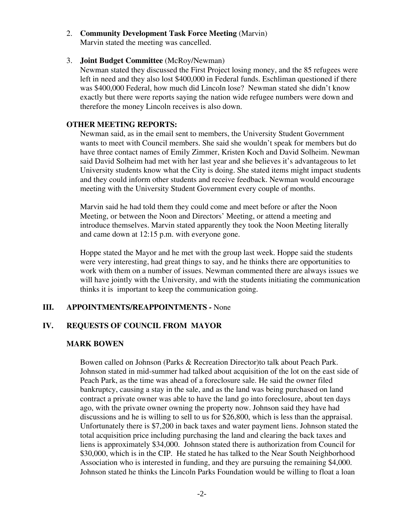# 2. **Community Development Task Force Meeting** (Marvin)

Marvin stated the meeting was cancelled.

## 3. **Joint Budget Committee** (McRoy/Newman)

Newman stated they discussed the First Project losing money, and the 85 refugees were left in need and they also lost \$400,000 in Federal funds. Eschliman questioned if there was \$400,000 Federal, how much did Lincoln lose? Newman stated she didn't know exactly but there were reports saying the nation wide refugee numbers were down and therefore the money Lincoln receives is also down.

## **OTHER MEETING REPORTS:**

Newman said, as in the email sent to members, the University Student Government wants to meet with Council members. She said she wouldn't speak for members but do have three contact names of Emily Zimmer, Kristen Koch and David Solheim. Newman said David Solheim had met with her last year and she believes it's advantageous to let University students know what the City is doing. She stated items might impact students and they could inform other students and receive feedback. Newman would encourage meeting with the University Student Government every couple of months.

Marvin said he had told them they could come and meet before or after the Noon Meeting, or between the Noon and Directors' Meeting, or attend a meeting and introduce themselves. Marvin stated apparently they took the Noon Meeting literally and came down at 12:15 p.m. with everyone gone.

Hoppe stated the Mayor and he met with the group last week. Hoppe said the students were very interesting, had great things to say, and he thinks there are opportunities to work with them on a number of issues. Newman commented there are always issues we will have jointly with the University, and with the students initiating the communication thinks it is important to keep the communication going.

# **III. APPOINTMENTS/REAPPOINTMENTS -** None

# **IV. REQUESTS OF COUNCIL FROM MAYOR**

# **MARK BOWEN**

Bowen called on Johnson (Parks & Recreation Director)to talk about Peach Park. Johnson stated in mid-summer had talked about acquisition of the lot on the east side of Peach Park, as the time was ahead of a foreclosure sale. He said the owner filed bankruptcy, causing a stay in the sale, and as the land was being purchased on land contract a private owner was able to have the land go into foreclosure, about ten days ago, with the private owner owning the property now. Johnson said they have had discussions and he is willing to sell to us for \$26,800, which is less than the appraisal. Unfortunately there is \$7,200 in back taxes and water payment liens. Johnson stated the total acquisition price including purchasing the land and clearing the back taxes and liens is approximately \$34,000. Johnson stated there is authorization from Council for \$30,000, which is in the CIP. He stated he has talked to the Near South Neighborhood Association who is interested in funding, and they are pursuing the remaining \$4,000. Johnson stated he thinks the Lincoln Parks Foundation would be willing to float a loan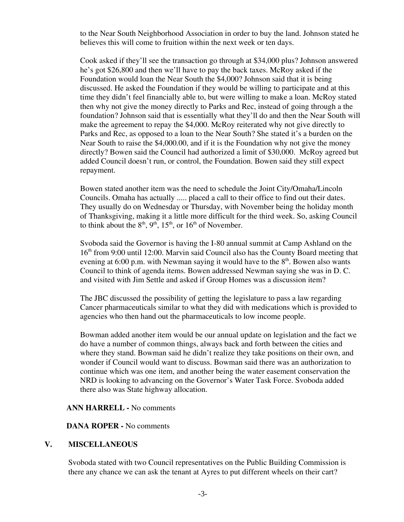to the Near South Neighborhood Association in order to buy the land. Johnson stated he believes this will come to fruition within the next week or ten days.

Cook asked if they'll see the transaction go through at \$34,000 plus? Johnson answered he's got \$26,800 and then we'll have to pay the back taxes. McRoy asked if the Foundation would loan the Near South the \$4,000? Johnson said that it is being discussed. He asked the Foundation if they would be willing to participate and at this time they didn't feel financially able to, but were willing to make a loan. McRoy stated then why not give the money directly to Parks and Rec, instead of going through a the foundation? Johnson said that is essentially what they'll do and then the Near South will make the agreement to repay the \$4,000. McRoy reiterated why not give directly to Parks and Rec, as opposed to a loan to the Near South? She stated it's a burden on the Near South to raise the \$4,000.00, and if it is the Foundation why not give the money directly? Bowen said the Council had authorized a limit of \$30,000. McRoy agreed but added Council doesn't run, or control, the Foundation. Bowen said they still expect repayment.

Bowen stated another item was the need to schedule the Joint City/Omaha/Lincoln Councils. Omaha has actually ..... placed a call to their office to find out their dates. They usually do on Wednesday or Thursday, with November being the holiday month of Thanksgiving, making it a little more difficult for the third week. So, asking Council to think about the  $8<sup>th</sup>$ ,  $9<sup>th</sup>$ ,  $15<sup>th</sup>$ , or  $16<sup>th</sup>$  of November.

Svoboda said the Governor is having the I-80 annual summit at Camp Ashland on the  $16<sup>th</sup>$  from 9:00 until 12:00. Marvin said Council also has the County Board meeting that evening at 6:00 p.m. with Newman saying it would have to the  $8<sup>th</sup>$ . Bowen also wants Council to think of agenda items. Bowen addressed Newman saying she was in D. C. and visited with Jim Settle and asked if Group Homes was a discussion item?

The JBC discussed the possibility of getting the legislature to pass a law regarding Cancer pharmaceuticals similar to what they did with medications which is provided to agencies who then hand out the pharmaceuticals to low income people.

Bowman added another item would be our annual update on legislation and the fact we do have a number of common things, always back and forth between the cities and where they stand. Bowman said he didn't realize they take positions on their own, and wonder if Council would want to discuss. Bowman said there was an authorization to continue which was one item, and another being the water easement conservation the NRD is looking to advancing on the Governor's Water Task Force. Svoboda added there also was State highway allocation.

### **ANN HARRELL -** No comments

### **DANA ROPER -** No comments

### **V. MISCELLANEOUS**

Svoboda stated with two Council representatives on the Public Building Commission is there any chance we can ask the tenant at Ayres to put different wheels on their cart?